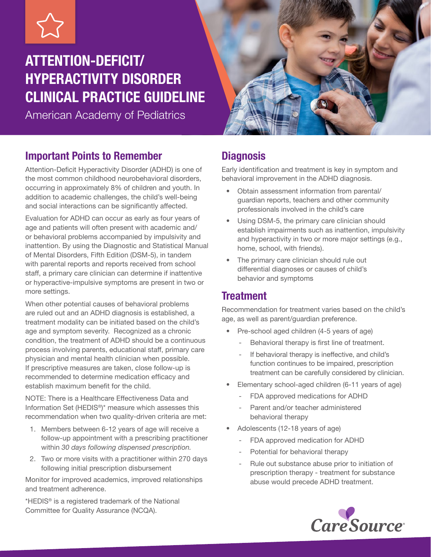# ATTENTION-DEFICIT/ HYPERACTIVITY DISORDER CLINICAL PRACTICE GUIDELINE

American Academy of Pediatrics



# Important Points to Remember

Attention-Deficit Hyperactivity Disorder (ADHD) is one of the most common childhood neurobehavioral disorders, occurring in approximately 8% of children and youth. In addition to academic challenges, the child's well-being and social interactions can be significantly affected.

Evaluation for ADHD can occur as early as four years of age and patients will often present with academic and/ or behavioral problems accompanied by impulsivity and inattention. By using the Diagnostic and Statistical Manual of Mental Disorders, Fifth Edition (DSM-5), in tandem with parental reports and reports received from school staff, a primary care clinician can determine if inattentive or hyperactive-impulsive symptoms are present in two or more settings.

When other potential causes of behavioral problems are ruled out and an ADHD diagnosis is established, a treatment modality can be initiated based on the child's age and symptom severity. Recognized as a chronic condition, the treatment of ADHD should be a continuous process involving parents, educational staff, primary care physician and mental health clinician when possible. If prescriptive measures are taken, close follow-up is recommended to determine medication efficacy and establish maximum benefit for the child.

NOTE: There is a Healthcare Effectiveness Data and Information Set (HEDIS®)\* measure which assesses this recommendation when two quality-driven criteria are met:

- 1. Members between 6-12 years of age will receive a follow-up appointment with a prescribing practitioner within *30 days following dispensed prescription.*
- 2. Two or more visits with a practitioner within 270 days following initial prescription disbursement

Monitor for improved academics, improved relationships and treatment adherence.

\*HEDIS® is a registered trademark of the National Committee for Quality Assurance (NCQA).

# **Diagnosis**

Early identification and treatment is key in symptom and behavioral improvement in the ADHD diagnosis.

- Obtain assessment information from parental/ guardian reports, teachers and other community professionals involved in the child's care
- Using DSM-5, the primary care clinician should establish impairments such as inattention, impulsivity and hyperactivity in two or more major settings (e.g., home, school, with friends).
- The primary care clinician should rule out differential diagnoses or causes of child's behavior and symptoms

# **Treatment**

Recommendation for treatment varies based on the child's age, as well as parent/guardian preference.

- Pre-school aged children (4-5 years of age)
	- Behavioral therapy is first line of treatment.
	- If behavioral therapy is ineffective, and child's function continues to be impaired, prescription treatment can be carefully considered by clinician.
- Elementary school-aged children (6-11 years of age)
	- FDA approved medications for ADHD
	- Parent and/or teacher administered behavioral therapy
- Adolescents (12-18 years of age)
	- FDA approved medication for ADHD
	- Potential for behavioral therapy
	- Rule out substance abuse prior to initiation of prescription therapy - treatment for substance abuse would precede ADHD treatment.